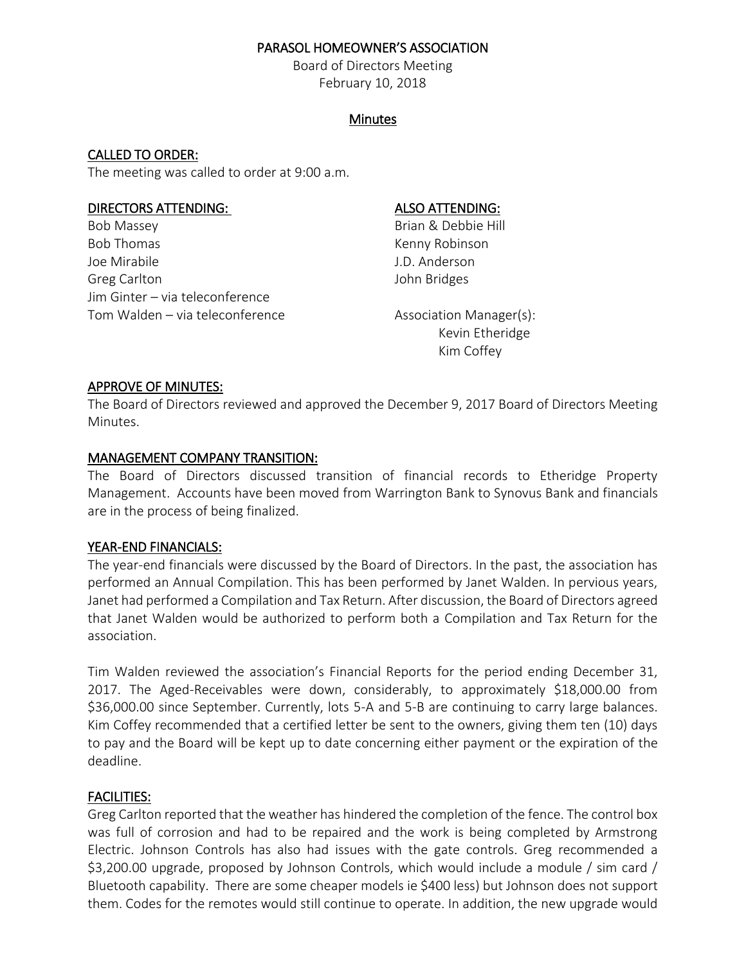#### PARASOL HOMEOWNER'S ASSOCIATION

Board of Directors Meeting February 10, 2018

## **Minutes**

## CALLED TO ORDER:

The meeting was called to order at 9:00 a.m.

#### DIRECTORS ATTENDING: ALSO ATTENDING:

Bob Massey **Brian & Debbie Hill** Bob Thomas **Kenny Robinson** Joe Mirabile J.D. Anderson Greg Carlton and The United States and John Bridges Jim Ginter – via teleconference Tom Walden – via teleconference Association Manager(s):

Kevin Etheridge Kim Coffey

#### APPROVE OF MINUTES:

The Board of Directors reviewed and approved the December 9, 2017 Board of Directors Meeting Minutes.

## MANAGEMENT COMPANY TRANSITION:

The Board of Directors discussed transition of financial records to Etheridge Property Management. Accounts have been moved from Warrington Bank to Synovus Bank and financials are in the process of being finalized.

## YEAR-END FINANCIALS:

The year-end financials were discussed by the Board of Directors. In the past, the association has performed an Annual Compilation. This has been performed by Janet Walden. In pervious years, Janet had performed a Compilation and Tax Return. After discussion, the Board of Directors agreed that Janet Walden would be authorized to perform both a Compilation and Tax Return for the association.

Tim Walden reviewed the association's Financial Reports for the period ending December 31, 2017. The Aged-Receivables were down, considerably, to approximately \$18,000.00 from \$36,000.00 since September. Currently, lots 5-A and 5-B are continuing to carry large balances. Kim Coffey recommended that a certified letter be sent to the owners, giving them ten (10) days to pay and the Board will be kept up to date concerning either payment or the expiration of the deadline.

## FACILITIES:

Greg Carlton reported that the weather has hindered the completion of the fence. The control box was full of corrosion and had to be repaired and the work is being completed by Armstrong Electric. Johnson Controls has also had issues with the gate controls. Greg recommended a \$3,200.00 upgrade, proposed by Johnson Controls, which would include a module / sim card / Bluetooth capability. There are some cheaper models ie \$400 less) but Johnson does not support them. Codes for the remotes would still continue to operate. In addition, the new upgrade would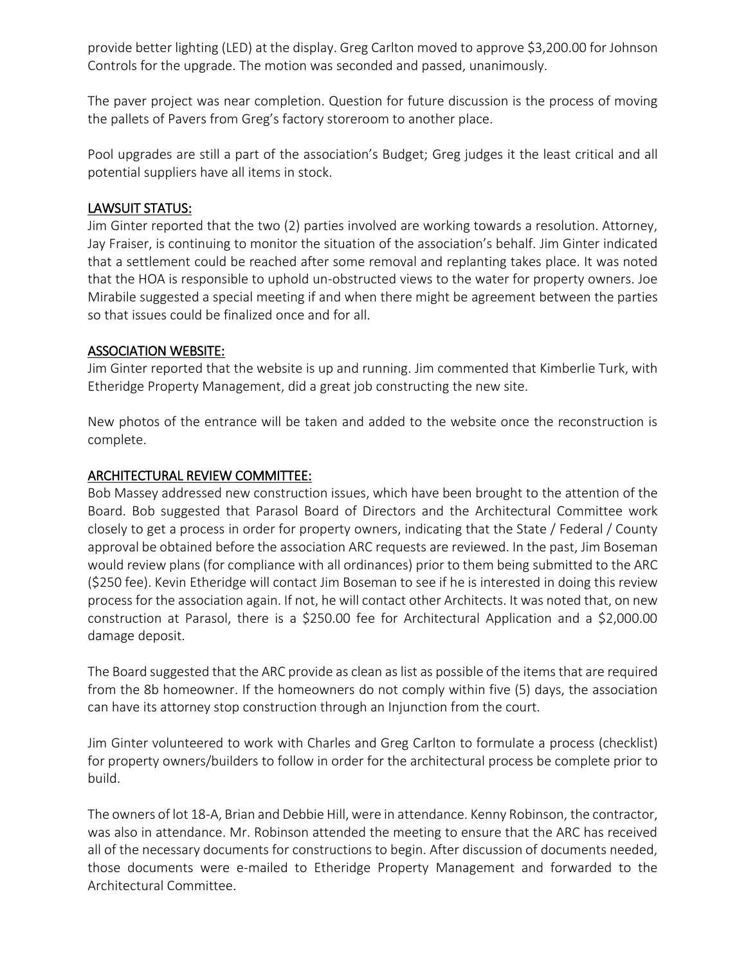provide better lighting (LED) at the display. Greg Carlton moved to approve \$3,200.00 for Johnson Controls for the upgrade. The motion was seconded and passed, unanimously.

The paver project was near completion. Question for future discussion is the process of moving the pallets of Pavers from Greg's factory storeroom to another place.

Pool upgrades are still a part of the association's Budget; Greg judges it the least critical and all potential suppliers have all items in stock.

## LAWSUIT STATUS:

Jim Ginter reported that the two (2) parties involved are working towards a resolution. Attorney, Jay Fraiser, is continuing to monitor the situation of the association's behalf. Jim Ginter indicated that a settlement could be reached after some removal and replanting takes place. It was noted that the HOA is responsible to uphold un-obstructed views to the water for property owners. Joe Mirabile suggested a special meeting if and when there might be agreement between the parties so that issues could be finalized once and for all.

#### ASSOCIATION WEBSITE:

Jim Ginter reported that the website is up and running. Jim commented that Kimberlie Turk, with Etheridge Property Management, did a great job constructing the new site.

New photos of the entrance will be taken and added to the website once the reconstruction is complete.

## ARCHITECTURAL REVIEW COMMITTEE:

Bob Massey addressed new construction issues, which have been brought to the attention of the Board. Bob suggested that Parasol Board of Directors and the Architectural Committee work closely to get a process in order for property owners, indicating that the State / Federal / County approval be obtained before the association ARC requests are reviewed. In the past, Jim Boseman would review plans (for compliance with all ordinances) prior to them being submitted to the ARC (\$250 fee). Kevin Etheridge will contact Jim Boseman to see if he is interested in doing this review process for the association again. If not, he will contact other Architects. It was noted that, on new construction at Parasol, there is a \$250.00 fee for Architectural Application and a \$2,000.00 damage deposit.

The Board suggested that the ARC provide as clean as list as possible of the items that are required from the 8b homeowner. If the homeowners do not comply within five (5) days, the association can have its attorney stop construction through an Injunction from the court.

Jim Ginter volunteered to work with Charles and Greg Carlton to formulate a process (checklist) for property owners/builders to follow in order for the architectural process be complete prior to build.

The owners of lot 18-A, Brian and Debbie Hill, were in attendance. Kenny Robinson, the contractor, was also in attendance. Mr. Robinson attended the meeting to ensure that the ARC has received all of the necessary documents for constructions to begin. After discussion of documents needed, those documents were e-mailed to Etheridge Property Management and forwarded to the Architectural Committee.